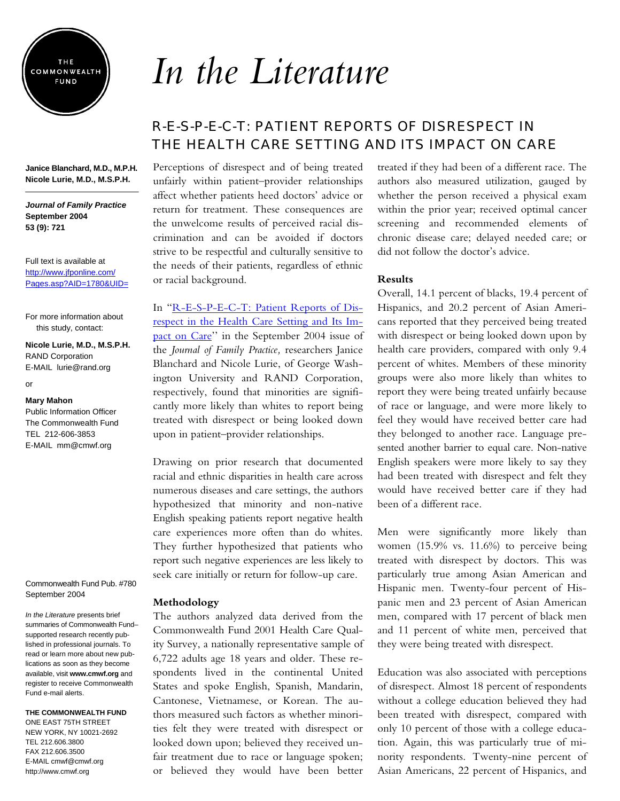

**Janice Blanchard, M.D., M.P.H. Nicole Lurie, M.D., M.S.P.H.** 

#### *Journal of Family Practice* **September 2004 53 (9): 721**

Full text is available at http://www.jfponline.com/ [Pages.asp?AID=1780&UID=](http://www.jfponline.com/Pages.asp?AID=1780&UID=)

For more information about this study, contact:

**Nicole Lurie, M.D., M.S.P.H.**  RAND Corporation E-MAIL lurie@rand.org

or

#### **Mary Mahon**

Public Information Officer The Commonwealth Fund TEL 212-606-3853 E-MAIL mm@cmwf.org

Commonwealth Fund Pub. #780 September 2004

*In the Literature* presents brief summaries of Commonwealth Fund– supported research recently published in professional journals. To read or learn more about new publications as soon as they become available, visit **www.cmwf.org** and register to receive Commonwealth Fund e-mail alerts.

#### **THE COMMONWEALTH FUND**

ONE EAST 75TH STREET NEW YORK, NY 10021-2692 TEL 212.606.3800 FAX 212.606.3500 E-MAIL cmwf@cmwf.org <http://www.cmwf.org>

# *In the Literature*

# R-E-S-P-E-C-T: PATIENT REPORTS OF DISRESPECT IN THE HEALTH CARE SETTING AND ITS IMPACT ON CARE

Perceptions of disrespect and of being treated unfairly within patient–provider relationships affect whether patients heed doctors' advice or return for treatment. These consequences are the unwelcome results of perceived racial discrimination and can be avoided if doctors strive to be respectful and culturally sensitive to the needs of their patients, regardless of ethnic or racial background.

In "R-E-S-P-E-C-T: Patient Reports of Disrespect in the Health Care Setting and Its Im[pact on Care'' in the September 2004 issue of](http://www.jfponline.com/Pages.asp?AID=1780&UID=)  the *Journal of Family Practice,* researchers Janice Blanchard and Nicole Lurie, of George Washington University and RAND Corporation, respectively, found that minorities are significantly more likely than whites to report being treated with disrespect or being looked down upon in patient–provider relationships.

Drawing on prior research that documented racial and ethnic disparities in health care across numerous diseases and care settings, the authors hypothesized that minority and non-native English speaking patients report negative health care experiences more often than do whites. They further hypothesized that patients who report such negative experiences are less likely to seek care initially or return for follow-up care.

#### **Methodology**

The authors analyzed data derived from the Commonwealth Fund 2001 Health Care Quality Survey, a nationally representative sample of 6,722 adults age 18 years and older. These respondents lived in the continental United States and spoke English, Spanish, Mandarin, Cantonese, Vietnamese, or Korean. The authors measured such factors as whether minorities felt they were treated with disrespect or looked down upon; believed they received unfair treatment due to race or language spoken; or believed they would have been better

treated if they had been of a different race. The authors also measured utilization, gauged by whether the person received a physical exam within the prior year; received optimal cancer screening and recommended elements of chronic disease care; delayed needed care; or did not follow the doctor's advice.

#### **Results**

Overall, 14.1 percent of blacks, 19.4 percent of Hispanics, and 20.2 percent of Asian Americans reported that they perceived being treated with disrespect or being looked down upon by health care providers, compared with only 9.4 percent of whites. Members of these minority groups were also more likely than whites to report they were being treated unfairly because of race or language, and were more likely to feel they would have received better care had they belonged to another race. Language presented another barrier to equal care. Non-native English speakers were more likely to say they had been treated with disrespect and felt they would have received better care if they had been of a different race.

Men were significantly more likely than women (15.9% vs. 11.6%) to perceive being treated with disrespect by doctors. This was particularly true among Asian American and Hispanic men. Twenty-four percent of Hispanic men and 23 percent of Asian American men, compared with 17 percent of black men and 11 percent of white men, perceived that they were being treated with disrespect.

Education was also associated with perceptions of disrespect. Almost 18 percent of respondents without a college education believed they had been treated with disrespect, compared with only 10 percent of those with a college education. Again, this was particularly true of minority respondents. Twenty-nine percent of Asian Americans, 22 percent of Hispanics, and